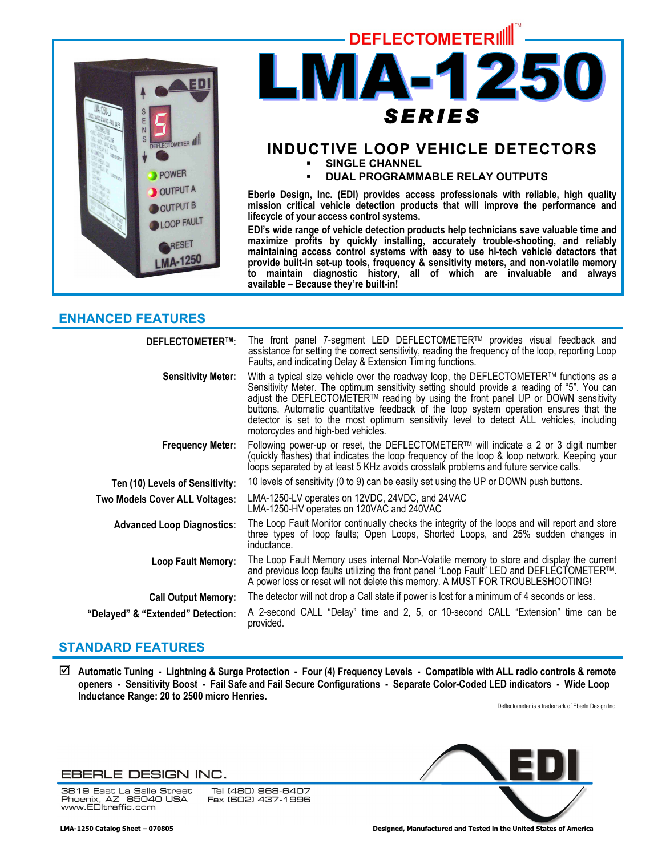

# **DEFLECTOMETERILL** IA\_ *SERIES*

# **INDUCTIVE LOOP VEHICLE DETECTORS**

**SINGLE CHANNEL** 

**DUAL PROGRAMMABLE RELAY OUTPUTS** 

**Eberle Design, Inc. (EDI) provides access professionals with reliable, high quality mission critical vehicle detection products that will improve the performance and lifecycle of your access control systems.** 

**EDI's wide range of vehicle detection products help technicians save valuable time and maximize profits by quickly installing, accurately trouble-shooting, and reliably maintaining access control systems with easy to use hi-tech vehicle detectors that provide built-in set-up tools, frequency & sensitivity meters, and non-volatile memory to maintain diagnostic history, all of which are invaluable and always available – Because they're built-in!** 

## **ENHANCED FEATURES**

| <b>DEFLECTOMETER™:</b>            | The front panel 7-segment LED DEFLECTOMETER™ provides visual feedback and<br>assistance for setting the correct sensitivity, reading the frequency of the loop, reporting Loop<br>Faults, and indicating Delay & Extension Timing functions.                                                                                                                                                                                                                                                                     |
|-----------------------------------|------------------------------------------------------------------------------------------------------------------------------------------------------------------------------------------------------------------------------------------------------------------------------------------------------------------------------------------------------------------------------------------------------------------------------------------------------------------------------------------------------------------|
| <b>Sensitivity Meter:</b>         | With a typical size vehicle over the roadway loop, the DEFLECTOMETER <sup>TM</sup> functions as a<br>Sensitivity Meter. The optimum sensitivity setting should provide a reading of "5". You can<br>adjust the DEFLECTOMETER™ reading by using the front panel UP or DOWN sensitivity<br>buttons. Automatic quantitative feedback of the loop system operation ensures that the<br>detector is set to the most optimum sensitivity level to detect ALL vehicles, including<br>motorcycles and high-bed vehicles. |
| <b>Frequency Meter:</b>           | Following power-up or reset, the DEFLECTOMETER™ will indicate a 2 or 3 digit number<br>(quickly flashes) that indicates the loop frequency of the loop & loop network. Keeping your<br>loops separated by at least 5 KHz avoids crosstalk problems and future service calls.                                                                                                                                                                                                                                     |
| Ten (10) Levels of Sensitivity:   | 10 levels of sensitivity (0 to 9) can be easily set using the UP or DOWN push buttons.                                                                                                                                                                                                                                                                                                                                                                                                                           |
| Two Models Cover ALL Voltages:    | LMA-1250-LV operates on 12VDC, 24VDC, and 24VAC<br>LMA-1250-HV operates on 120VAC and 240VAC                                                                                                                                                                                                                                                                                                                                                                                                                     |
| <b>Advanced Loop Diagnostics:</b> | The Loop Fault Monitor continually checks the integrity of the loops and will report and store<br>three types of loop faults; Open Loops, Shorted Loops, and 25% sudden changes in<br>inductance.                                                                                                                                                                                                                                                                                                                |
| <b>Loop Fault Memory:</b>         | The Loop Fault Memory uses internal Non-Volatile memory to store and display the current<br>and previous loop faults utilizing the front panel "Loop Fault" LED and DEFLECTOMETER™.<br>A power loss or reset will not delete this memory. A MUST FOR TROUBLESHOOTING!                                                                                                                                                                                                                                            |
| <b>Call Output Memory:</b>        | The detector will not drop a Call state if power is lost for a minimum of 4 seconds or less.                                                                                                                                                                                                                                                                                                                                                                                                                     |
| "Delayed" & "Extended" Detection: | A 2-second CALL "Delay" time and 2, 5, or 10-second CALL "Extension" time can be<br>provided.                                                                                                                                                                                                                                                                                                                                                                                                                    |

# **STANDARD FEATURES**

; **Automatic Tuning - Lightning & Surge Protection - Four (4) Frequency Levels - Compatible with ALL radio controls & remote openers - Sensitivity Boost - Fail Safe and Fail Secure Configurations - Separate Color-Coded LED indicators - Wide Loop Inductance Range: 20 to 2500 micro Henries.** 

Deflectometer is a trademark of Eberle Design Inc.

## EBERLE DESIGN INC.

3819 East La Salle Street<br>Phoenix, AZ 85040 USA www.EDltraffic.com

Tel (480) 968-6407 Fax (602) 437-1996